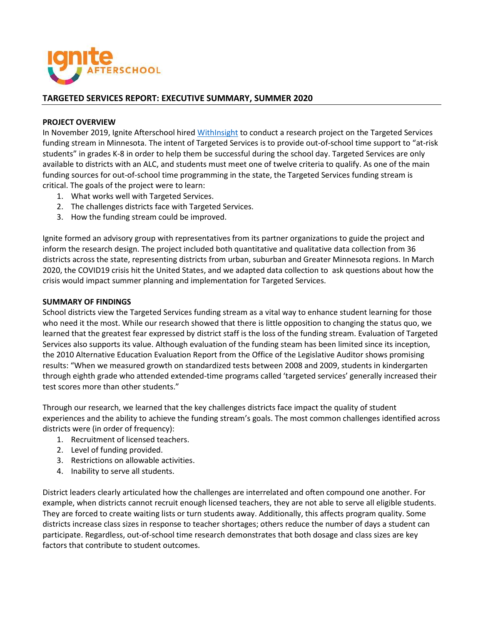

## **TARGETED SERVICES REPORT: EXECUTIVE SUMMARY, SUMMER 2020**

## **PROJECT OVERVIEW**

In November 2019, Ignite Afterschool hired [WithInsight](https://www.withinsightgroup.com/) to conduct a research project on the Targeted Services funding stream in Minnesota. The intent of Targeted Services is to provide out-of-school time support to "at-risk students" in grades K-8 in order to help them be successful during the school day. Targeted Services are only available to districts with an ALC, and students must meet one of twelve criteria to qualify. As one of the main funding sources for out-of-school time programming in the state, the Targeted Services funding stream is critical. The goals of the project were to learn:

- 1. What works well with Targeted Services.
- 2. The challenges districts face with Targeted Services.
- 3. How the funding stream could be improved.

Ignite formed an advisory group with representatives from its partner organizations to guide the project and inform the research design. The project included both quantitative and qualitative data collection from 36 districts across the state, representing districts from urban, suburban and Greater Minnesota regions. In March 2020, the COVID19 crisis hit the United States, and we adapted data collection to ask questions about how the crisis would impact summer planning and implementation for Targeted Services.

## **SUMMARY OF FINDINGS**

School districts view the Targeted Services funding stream as a vital way to enhance student learning for those who need it the most. While our research showed that there is little opposition to changing the status quo, we learned that the greatest fear expressed by district staff is the loss of the funding stream. Evaluation of Targeted Services also supports its value. Although evaluation of the funding steam has been limited since its inception, the 2010 Alternative Education Evaluation Report from the Office of the Legislative Auditor shows promising results: "When we measured growth on standardized tests between 2008 and 2009, students in kindergarten through eighth grade who attended extended-time programs called 'targeted services' generally increased their test scores more than other students."

Through our research, we learned that the key challenges districts face impact the quality of student experiences and the ability to achieve the funding stream's goals. The most common challenges identified across districts were (in order of frequency):

- 1. Recruitment of licensed teachers.
- 2. Level of funding provided.
- 3. Restrictions on allowable activities.
- 4. Inability to serve all students.

District leaders clearly articulated how the challenges are interrelated and often compound one another. For example, when districts cannot recruit enough licensed teachers, they are not able to serve all eligible students. They are forced to create waiting lists or turn students away. Additionally, this affects program quality. Some districts increase class sizes in response to teacher shortages; others reduce the number of days a student can participate. Regardless, out-of-school time research demonstrates that both dosage and class sizes are key factors that contribute to student outcomes.